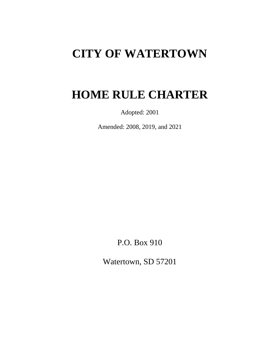# **CITY OF WATERTOWN**

# **HOME RULE CHARTER**

Adopted: 2001

Amended: 2008, 2019, and 2021

P.O. Box 910

Watertown, SD 57201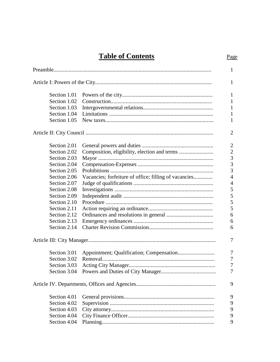| <b>Table of Contents</b> | Page |
|--------------------------|------|
|                          |      |

|              |                                                       | $\mathbf{1}$   |
|--------------|-------------------------------------------------------|----------------|
|              |                                                       | 1              |
| Section 1.01 |                                                       | 1              |
| Section 1.02 |                                                       | 1              |
| Section 1.03 |                                                       | 1              |
| Section 1.04 |                                                       | 1              |
| Section 1.05 |                                                       | 1              |
|              |                                                       | $\overline{2}$ |
| Section 2.01 |                                                       | $\overline{2}$ |
| Section 2.02 |                                                       | $\overline{c}$ |
| Section 2.03 |                                                       | 3              |
| Section 2.04 |                                                       | $\overline{3}$ |
| Section 2.05 |                                                       | $\overline{3}$ |
| Section 2.06 | Vacancies; forfeiture of office; filling of vacancies | $\overline{4}$ |
| Section 2.07 |                                                       | $\overline{4}$ |
| Section 2.08 |                                                       | 5              |
| Section 2.09 |                                                       | 5              |
| Section 2.10 |                                                       | 5              |
| Section 2.11 |                                                       | 5              |
| Section 2.12 |                                                       | 6              |
| Section 2.13 |                                                       | 6              |
| Section 2.14 |                                                       | 6              |
|              |                                                       | 7              |
| Section 3.01 |                                                       | 7              |
| Section 3.02 |                                                       | 7              |
| Section 3.03 |                                                       | $\overline{7}$ |
| Section 3.04 |                                                       | $\tau$         |
|              |                                                       | 9              |
| Section 4.01 |                                                       | 9              |
| Section 4.02 |                                                       | 9              |
| Section 4.03 |                                                       | 9              |
| Section 4.04 |                                                       | 9              |
| Section 4.04 |                                                       | 9              |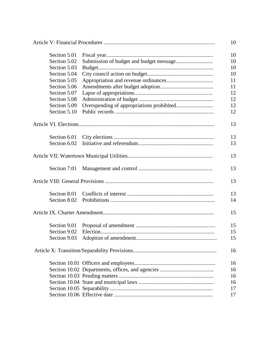|              |  | 10 |
|--------------|--|----|
| Section 5.01 |  | 10 |
| Section 5.02 |  |    |
| Section 5.03 |  | 10 |
| Section 5.04 |  | 10 |
| Section 5.05 |  | 11 |
| Section 5.06 |  | 11 |
| Section 5.07 |  | 12 |
| Section 5.08 |  | 12 |
| Section 5.09 |  | 12 |
| Section 5.10 |  | 12 |
|              |  |    |
|              |  | 13 |
| Section 6.01 |  | 13 |
| Section 6.02 |  | 13 |
|              |  | 13 |
|              |  | 13 |
|              |  | 13 |
| Section 8.01 |  | 13 |
| Section 8.02 |  | 14 |
|              |  | 15 |
|              |  |    |
| Section 9.01 |  | 15 |
| Section 9.02 |  | 15 |
| Section 9.03 |  | 15 |
|              |  | 16 |
|              |  | 16 |
|              |  | 16 |
|              |  | 16 |
|              |  | 16 |
|              |  | 17 |
|              |  | 17 |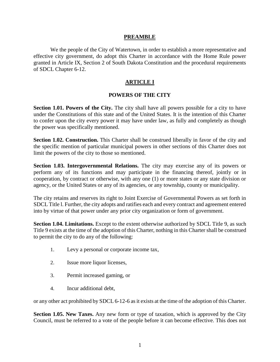#### **PREAMBLE**

We the people of the City of Watertown, in order to establish a more representative and effective city government, do adopt this Charter in accordance with the Home Rule power granted in Article IX, Section 2 of South Dakota Constitution and the procedural requirements of SDCL Chapter 6-12.

# **ARTICLE I**

# **POWERS OF THE CITY**

**Section 1.01. Powers of the City.** The city shall have all powers possible for a city to have under the Constitutions of this state and of the United States. It is the intention of this Charter to confer upon the city every power it may have under law, as fully and completely as though the power was specifically mentioned.

**Section 1.02. Construction.** This Charter shall be construed liberally in favor of the city and the specific mention of particular municipal powers in other sections of this Charter does not limit the powers of the city to those so mentioned.

**Section 1.03. Intergovernmental Relations.** The city may exercise any of its powers or perform any of its functions and may participate in the financing thereof, jointly or in cooperation, by contract or otherwise, with any one (1) or more states or any state division or agency, or the United States or any of its agencies, or any township, county or municipality.

The city retains and reserves its right to Joint Exercise of Governmental Powers as set forth in SDCL Title l. Further, the city adopts and ratifies each and every contract and agreement entered into by virtue of that power under any prior city organization or form of government.

**Section 1.04. Limitations.** Except to the extent otherwise authorized by SDCL Title 9, as such Title 9 exists at the time of the adoption of this Charter, nothing in this Charter shall be construed to permit the city to do any of the following:

- 1. Levy a personal or corporate income tax,
- 2. Issue more liquor licenses,
- 3. Permit increased gaming, or
- 4. Incur additional debt,

or any other act prohibited by SDCL 6-12-6 as it exists at the time of the adoption of this Charter.

**Section 1.05. New Taxes.** Any new form or type of taxation, which is approved by the City Council, must be referred to a vote of the people before it can become effective. This does not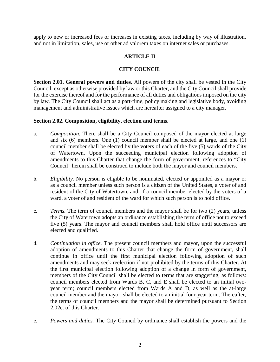apply to new or increased fees or increases in existing taxes, including by way of illustration, and not in limitation, sales, use or other ad valorem taxes on internet sales or purchases.

# **ARTICLE II**

# **CITY COUNCIL**

**Section 2.01. General powers and duties.** All powers of the city shall be vested in the City Council, except as otherwise provided by law or this Charter, and the City Council shall provide for the exercise thereof and for the performance of all duties and obligations imposed on the city by law. The City Council shall act as a part-time, policy making and legislative body, avoiding management and administrative issues which are hereafter assigned to a city manager.

#### **Section 2.02. Composition, eligibility, election and terms.**

- a. *Composition.* There shall be a City Council composed of the mayor elected at large and six (6) members. One (1) council member shall be elected at large, and one (1) council member shall be elected by the voters of each of the five (5) wards of the City of Watertown. Upon the succeeding municipal election following adoption of amendments to this Charter that change the form of government, references to "City Council" herein shall be construed to include both the mayor and council members.
- b. *Eligibility.* No person is eligible to be nominated, elected or appointed as a mayor or as a council member unless such person is a citizen of the United States, a voter of and resident of the City of Watertown, and, if a council member elected by the voters of a ward, a voter of and resident of the ward for which such person is to hold office.
- c. *Terms.* The term of council members and the mayor shall be for two (2) years, unless the City of Watertown adopts an ordinance establishing the term of office not to exceed five (5) years. The mayor and council members shall hold office until successors are elected and qualified.
- d. *Continuation in office.* The present council members and mayor, upon the successful adoption of amendments to this Charter that change the form of government, shall continue in office until the first municipal election following adoption of such amendments and may seek reelection if not prohibited by the terms of this Charter. At the first municipal election following adoption of a change in form of government, members of the City Council shall be elected to terms that are staggering, as follows: council members elected from Wards B, C, and E shall be elected to an initial twoyear term; council members elected from Wards A and D, as well as the at-large council member and the mayor, shall be elected to an initial four-year term. Thereafter, the terms of council members and the mayor shall be determined pursuant to Section 2.02c. of this Charter.
- e. *Powers and duties.* The City Council by ordinance shall establish the powers and the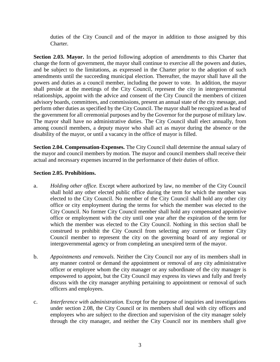duties of the City Council and of the mayor in addition to those assigned by this Charter.

**Section 2.03. Mayor.** In the period following adoption of amendments to this Charter that change the form of government, the mayor shall continue to exercise all the powers and duties, and be subject to the limitations, as expressed in the Charter prior to the adoption of such amendments until the succeeding municipal election. Thereafter, the mayor shall have all the powers and duties as a council member, including the power to vote. In addition, the mayor shall preside at the meetings of the City Council, represent the city in intergovernmental relationships, appoint with the advice and consent of the City Council the members of citizen advisory boards, committees, and commissions, present an annual state of the city message, and perform other duties as specified by the City Council. The mayor shall be recognized as head of the government for all ceremonial purposes and by the Governor for the purpose of military law. The mayor shall have no administrative duties. The City Council shall elect annually, from among council members, a deputy mayor who shall act as mayor during the absence or the disability of the mayor, or until a vacancy in the office of mayor is filled.

**Section 2.04. Compensation-Expenses.** The City Council shall determine the annual salary of the mayor and council members by motion. The mayor and council members shall receive their actual and necessary expenses incurred in the performance of their duties of office.

#### **Section 2.05. Prohibitions.**

- a. *Holding other office.* Except where authorized by law, no member of the City Council shall hold any other elected public office during the term for which the member was elected to the City Council. No member of the City Council shall hold any other city office or city employment during the terms for which the member was elected to the City Council. No former City Council member shall hold any compensated appointive office or employment with the city until one year after the expiration of the term for which the member was elected to the City Council. Nothing in this section shall be construed to prohibit the City Council from selecting any current or former City Council member to represent the city on the governing board of any regional or intergovernmental agency or from completing an unexpired term of the mayor.
- b. *Appointments and removals.* Neither the City Council nor any of its members shall in any manner control or demand the appointment or removal of any city administrative officer or employee whom the city manager or any subordinate of the city manager is empowered to appoint, but the City Council may express its views and fully and freely discuss with the city manager anything pertaining to appointment or removal of such officers and employees.
- c. *Interference with administration.* Except for the purpose of inquiries and investigations under section 2.08, the City Council or its members shall deal with city officers and employees who are subject to the direction and supervision of the city manager solely through the city manager, and neither the City Council nor its members shall give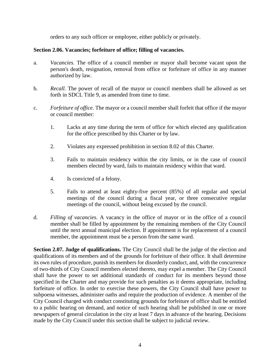orders to any such officer or employee, either publicly or privately.

# **Section 2.06. Vacancies; forfeiture of office; filling of vacancies.**

- a. *Vacancies.* The office of a council member or mayor shall become vacant upon the person's death, resignation, removal from office or forfeiture of office in any manner authorized by law.
- b. *Recall.* The power of recall of the mayor or council members shall be allowed as set forth in SDCL Title 9, as amended from time to time.
- c. *Forfeiture of office.* The mayor or a council member shall forfeit that office if the mayor or council member:
	- 1. Lacks at any time during the term of office for which elected any qualification for the office prescribed by this Charter or by law.
	- 2. Violates any expressed prohibition in section 8.02 of this Charter.
	- 3. Fails to maintain residency within the city limits, or in the case of council members elected by ward, fails to maintain residency within that ward.
	- 4. Is convicted of a felony.
	- 5. Fails to attend at least eighty-five percent (85%) of all regular and special meetings of the council during a fiscal year, or three consecutive regular meetings of the council, without being excused by the council.
- d. *Filling of vacancies.* A vacancy in the office of mayor or in the office of a council member shall be filled by appointment by the remaining members of the City Council until the next annual municipal election. If appointment is for replacement of a council member, the appointment must be a person from the same ward.

**Section 2.07. Judge of qualifications.** The City Council shall be the judge of the election and qualifications of its members and of the grounds for forfeiture of their office. It shall determine its own rules of procedure, punish its members for disorderly conduct, and, with the concurrence of two-thirds of City Council members elected thereto, may expel a member. The City Council shall have the power to set additional standards of conduct for its members beyond those specified in the Charter and may provide for such penalties as it deems appropriate, including forfeiture of office. In order to exercise these powers, the City Council shall have power to subpoena witnesses, administer oaths and require the production of evidence. A member of the City Council charged with conduct constituting grounds for forfeiture of office shall be entitled to a public hearing on demand, and notice of such hearing shall be published in one or more newspapers of general circulation in the city at least 7 days in advance of the hearing. Decisions made by the City Council under this section shall be subject to judicial review.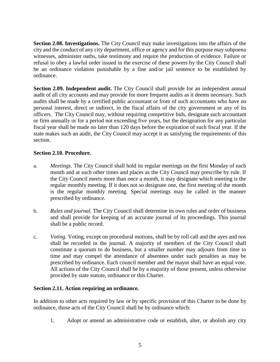**Section 2.08. Investigations.** The City Council may make investigations into the affairs of the city and the conduct of any city department, office or agency and for this purpose may subpoena witnesses, administer oaths, take testimony and require the production of evidence. Failure or refusal to obey a lawful order issued in the exercise of these powers by the City Council shall be an ordinance violation punishable by a fine and/or jail sentence to be established by ordinance.

**Section 2.09. Independent audit.** The City Council shall provide for an independent annual audit of all city accounts and may provide for more frequent audits as it deems necessary. Such audits shall be made by a certified public accountant or from of such accountants who have no personal interest, direct or indirect, in the fiscal affairs of the city government or any of its officers. The City Council may, without requiring competitive bids, designate such accountant or firm annually or for a period not exceeding five years, but the designation for any particular fiscal year shall be made no later than 120 days before the expiration of such fiscal year. If the state makes such an audit, the City Council may accept it as satisfying the requirements of this section.

# **Section 2.10. Procedure.**

- a. *Meetings.* The City Council shall hold its regular meetings on the first Monday of each month and at such other times and places as the City Council may prescribe by rule. If the City Council meets more than once a month, it may designate which meeting is the regular monthly meeting. If it does not so designate one, the first meeting of the month is the regular monthly meeting. Special meetings may be called in the manner prescribed by ordinance.
- b. *Rules and journal.* The City Council shall determine its own rules and order of business and shall provide for keeping of an accurate journal of its proceedings. This journal shall be a public record.
- c. *Voting.* Voting, except on procedural motions, shall be by roll call and the ayes and nos shall be recorded in the journal. A majority of members of the City Council shall constitute a quorum to do business, but a smaller number may adjourn from time to time and may compel the attendance of absentees under such penalties as may be prescribed by ordinance. Each council member and the mayor shall have an equal vote. All actions of the City Council shall be by a majority of those present, unless otherwise provided by state statute, ordinance or this Charter.

# **Section 2.11. Action requiring an ordinance.**

In addition to other acts required by law or by specific provision of this Charter to be done by ordinance, those acts of the City Council shall be by ordinance which:

1. Adopt or amend an administrative code or establish, alter, or abolish any city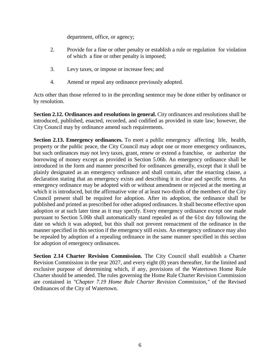department, office, or agency;

- 2. Provide for a fine or other penalty or establish a rule or regulation for violation of which a fine or other penalty is imposed;
- 3. Levy taxes, or impose or increase fees; and
- 4. Amend or repeal any ordinance previously adopted.

Acts other than those referred to in the preceding sentence may be done either by ordinance or by resolution.

**Section 2.12. Ordinances and resolutions in general.** City ordinances and resolutions shall be introduced, published, enacted, recorded, and codified as provided in state law; however, the City Council may by ordinance amend such requirements.

**Section 2.13. Emergency ordinances.** To meet a public emergency affecting life, health, property or the public peace, the City Council may adopt one or more emergency ordinances, but such ordinances may not levy taxes, grant, renew or extend a franchise, or authorize the borrowing of money except as provided in Section 5.06b. An emergency ordinance shall be introduced in the form and manner prescribed for ordinances generally, except that it shall be plainly designated as an emergency ordinance and shall contain, after the enacting clause, a declaration stating that an emergency exists and describing it in clear and specific terms. An emergency ordinance may be adopted with or without amendment or rejected at the meeting at which it is introduced, but the affirmative vote of at least two-thirds of the members of the City Council present shall be required for adoption. After its adoption, the ordinance shall be published and printed as prescribed for other adopted ordinances. It shall become effective upon adoption or at such later time as it may specify. Every emergency ordinance except one made pursuant to Section 5.06b shall automatically stand repealed as of the 61st day following the date on which it was adopted, but this shall not prevent reenactment of the ordinance in the manner specified in this section if the emergency still exists. An emergency ordinance may also be repealed by adoption of a repealing ordinance in the same manner specified in this section for adoption of emergency ordinances.

**Section 2.14 Charter Revision Commission.** The City Council shall establish a Charter Revision Commission in the year 2027, and every eight (8) years thereafter, for the limited and exclusive purpose of determining which, if any, provisions of the Watertown Home Rule Charter should be amended. The rules governing the Home Rule Charter Revision Commission are contained in *"Chapter 7.19 Home Rule Charter Revision Commission,"* of the Revised Ordinances of the City of Watertown.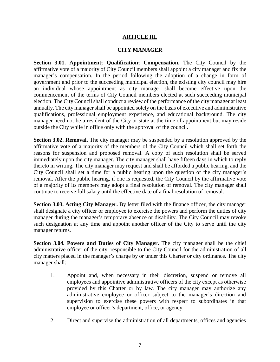# **ARTICLE III.**

#### **CITY MANAGER**

**Section 3.01. Appointment; Qualification; Compensation.** The City Council by the affirmative vote of a majority of City Council members shall appoint a city manager and fix the manager's compensation. In the period following the adoption of a change in form of government and prior to the succeeding municipal election, the existing city council may hire an individual whose appointment as city manager shall become effective upon the commencement of the terms of City Council members elected at such succeeding municipal election. The City Council shall conduct a review of the performance of the city manager at least annually. The city manager shall be appointed solely on the basis of executive and administrative qualifications, professional employment experience, and educational background. The city manager need not be a resident of the City or state at the time of appointment but may reside outside the City while in office only with the approval of the council.

**Section 3.02. Removal.** The city manager may be suspended by a resolution approved by the affirmative vote of a majority of the members of the City Council which shall set forth the reasons for suspension and proposed removal. A copy of such resolution shall be served immediately upon the city manager. The city manager shall have fifteen days in which to reply thereto in writing. The city manager may request and shall be afforded a public hearing, and the City Council shall set a time for a public hearing upon the question of the city manager's removal. After the public hearing, if one is requested, the City Council by the affirmative vote of a majority of its members may adopt a final resolution of removal. The city manager shall continue to receive full salary until the effective date of a final resolution of removal.

**Section 3.03. Acting City Manager.** By letter filed with the finance officer, the city manager shall designate a city officer or employee to exercise the powers and perform the duties of city manager during the manager's temporary absence or disability. The City Council may revoke such designation at any time and appoint another officer of the City to serve until the city manager returns.

**Section 3.04. Powers and Duties of City Manager.** The city manager shall be the chief administrative officer of the city, responsible to the City Council for the administration of all city matters placed in the manager's charge by or under this Charter or city ordinance. The city manager shall:

- 1. Appoint and, when necessary in their discretion, suspend or remove all employees and appointive administrative officers of the city except as otherwise provided by this Charter or by law. The city manager may authorize any administrative employee or officer subject to the manager's direction and supervision to exercise these powers with respect to subordinates in that employee or officer's department, office, or agency.
- 2. Direct and supervise the administration of all departments, offices and agencies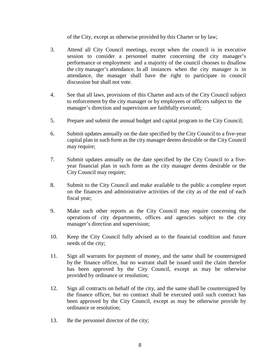of the City, except as otherwise provided by this Charter or by law;

- 3. Attend all City Council meetings, except when the council is in executive session to consider a personnel matter concerning the city manager's performance or employment and a majority of the council chooses to disallow the city manager's attendance. In all instances when the city manager is in attendance, the manager shall have the right to participate in council discussion but shall not vote.
- 4. See that all laws, provisions of this Charter and acts of the City Council subject to enforcement by the city manager or by employees or officers subject to the manager's direction and supervision are faithfully executed;
- 5. Prepare and submit the annual budget and capital program to the City Council;
- 6. Submit updates annually on the date specified by the City Council to a five-year capital plan in such form as the city manager deems desirable or the City Council may require;
- 7. Submit updates annually on the date specified by the City Council to a fiveyear financial plan in such form as the city manager deems desirable or the City Council may require;
- 8. Submit to the City Council and make available to the public a complete report on the finances and administrative activities of the city as of the end of each fiscal year;
- 9. Make such other reports as the City Council may require concerning the operations of city departments, offices and agencies subject to the city manager's direction and supervision;
- 10. Keep the City Council fully advised as to the financial condition and future needs of the city;
- 11. Sign all warrants for payment of money, and the same shall be countersigned by the finance officer, but no warrant shall be issued until the claim therefor has been approved by the City Council, except as may be otherwise provided by ordinance or resolution;
- 12. Sign all contracts on behalf of the city, and the same shall be countersigned by the finance officer, but no contract shall be executed until such contract has been approved by the City Council, except as may be otherwise provide by ordinance or resolution;
- 13. Be the personnel director of the city;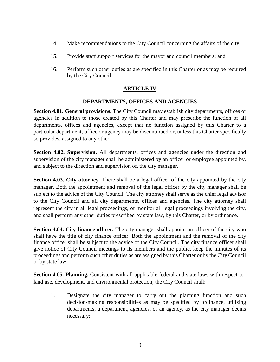- 14. Make recommendations to the City Council concerning the affairs of the city;
- 15. Provide staff support services for the mayor and council members; and
- 16. Perform such other duties as are specified in this Charter or as may be required by the City Council.

# **ARTICLE IV**

#### **DEPARTMENTS, OFFICES AND AGENCIES**

**Section 4.01. General provisions.** The City Council may establish city departments, offices or agencies in addition to those created by this Charter and may prescribe the function of all departments, offices and agencies, except that no function assigned by this Charter to a particular department, office or agency may be discontinued or, unless this Charter specifically so provides, assigned to any other.

**Section 4.02. Supervision.** All departments, offices and agencies under the direction and supervision of the city manager shall be administered by an officer or employee appointed by, and subject to the direction and supervision of, the city manager.

**Section 4.03. City attorney.** There shall be a legal officer of the city appointed by the city manager. Both the appointment and removal of the legal officer by the city manager shall be subject to the advice of the City Council. The city attorney shall serve as the chief legal advisor to the City Council and all city departments, offices and agencies. The city attorney shall represent the city in all legal proceedings, or monitor all legal proceedings involving the city, and shall perform any other duties prescribed by state law, by this Charter, or by ordinance.

**Section 4.04. City finance officer.** The city manager shall appoint an officer of the city who shall have the title of city finance officer. Both the appointment and the removal of the city finance officer shall be subject to the advice of the City Council. The city finance officer shall give notice of City Council meetings to its members and the public, keep the minutes of its proceedings and perform such other duties as are assigned by this Charter or by the City Council or by state law.

**Section 4.05. Planning.** Consistent with all applicable federal and state laws with respect to land use, development, and environmental protection, the City Council shall:

1. Designate the city manager to carry out the planning function and such decision-making responsibilities as may be specified by ordinance, utilizing departments, a department, agencies, or an agency, as the city manager deems necessary;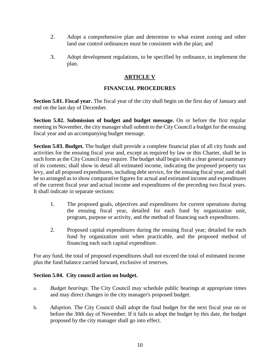- 2. Adopt a comprehensive plan and determine to what extent zoning and other land use control ordinances must be consistent with the plan; and
- 3. Adopt development regulations, to be specified by ordinance, to implement the plan.

# **ARTICLE V**

# **FINANCIAL PROCEDURES**

**Section 5.01. Fiscal year.** The fiscal year of the city shall begin on the first day of January and end on the last day of December.

**Section 5.02. Submission of budget and budget message.** On or before the first regular meeting in November, the city manager shall submit to the City Council a budget for the ensuing fiscal year and an accompanying budget message.

**Section 5.03. Budget.** The budget shall provide a complete financial plan of all city funds and activities for the ensuing fiscal year and, except as required by law or this Charter, shall be in such form as the City Council may require. The budget shall begin with a clear general summary of its contents; shall show in detail all estimated income, indicating the proposed property tax levy, and all proposed expenditures, including debt service, for the ensuing fiscal year; and shall be so arranged as to show comparative figures for actual and estimated income and expenditures of the current fiscal year and actual income and expenditures of the preceding two fiscal years. It shall indicate in separate sections:

- 1. The proposed goals, objectives and expenditures for current operations during the ensuing fiscal year, detailed for each fund by organization unit, program, purpose or activity, and the method of financing such expenditures.
- 2. Proposed capital expenditures during the ensuing fiscal year; detailed for each fund by organization unit when practicable, and the proposed method of financing each such capital expenditure.

For any fund, the total of proposed expenditures shall not exceed the total of estimated income plus the fund balance carried forward, exclusive of reserves.

# **Section 5.04. City council action on budget.**

- a. *Budget hearings.* The City Council may schedule public hearings at appropriate times and may direct changes in the city manager's proposed budget.
- b. *Adoption.* The City Council shall adopt the final budget for the next fiscal year on or before the 30th day of November. If it fails to adopt the budget by this date, the budget proposed by the city manager shall go into effect.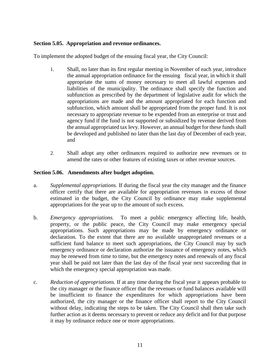### **Section 5.05. Appropriation and revenue ordinances.**

To implement the adopted budget of the ensuing fiscal year, the City Council:

- 1. Shall, no later than its first regular meeting in November of each year, introduce the annual appropriation ordinance for the ensuing fiscal year, in which it shall appropriate the sums of money necessary to meet all lawful expenses and liabilities of the municipality. The ordinance shall specify the function and subfunction as prescribed by the department of legislative audit for which the appropriations are made and the amount appropriated for each function and subfunction, which amount shall be appropriated from the proper fund. It is not necessary to appropriate revenue to be expended from an enterprise or trust and agency fund if the fund is not supported or subsidized by revenue derived from the annual appropriated tax levy. However, an annual budget for these funds shall be developed and published no later than the last day of December of each year, and
- 2. Shall adopt any other ordinances required to authorize new revenues or to amend the rates or other features of existing taxes or other revenue sources.

#### **Section 5.06. Amendments after budget adoption.**

- a. *Supplemental appropriations.* If during the fiscal year the city manager and the finance officer certify that there are available for appropriation revenues in excess of those estimated in the budget, the City Council by ordinance may make supplemental appropriations for the year up to the amount of such excess.
- b. *Emergency appropriations.* To meet a public emergency affecting life, health, property, or the public peace, the City Council may make emergency special appropriations. Such appropriations may be made by emergency ordinance or declaration. To the extent that there are no available unappropriated revenues or a sufficient fund balance to meet such appropriations, the City Council may by such emergency ordinance or declaration authorize the issuance of emergency notes, which may be renewed from time to time, but the emergency notes and renewals of any fiscal year shall be paid not later than the last day of the fiscal year next succeeding that in which the emergency special appropriation was made.
- c. *Reduction of appropriations.* If at any time during the fiscal year it appears probable to the city manager or the finance officer that the revenues or fund balances available will be insufficient to finance the expenditures for which appropriations have been authorized, the city manager or the finance officer shall report to the City Council without delay, indicating the steps to be taken. The City Council shall then take such further action as it deems necessary to prevent or reduce any deficit and for that purpose it may by ordinance reduce one or more appropriations.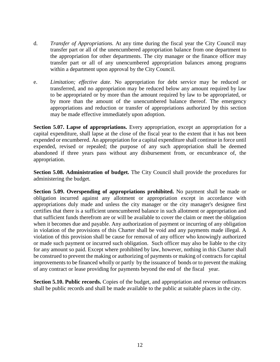- d. *Transfer of Appropriations.* At any time during the fiscal year the City Council may transfer part or all of the unencumbered appropriation balance from one department to the appropriation for other departments. The city manager or the finance officer may transfer part or all of any unencumbered appropriation balances among programs within a department upon approval by the City Council.
- e. *Limitation; effective date.* No appropriation for debt service may be reduced or transferred, and no appropriation may be reduced below any amount required by law to be appropriated or by more than the amount required by law to be appropriated, or by more than the amount of the unencumbered balance thereof. The emergency appropriations and reduction or transfer of appropriations authorized by this section may be made effective immediately upon adoption.

**Section 5.07. Lapse of appropriations.** Every appropriation, except an appropriation for a capital expenditure, shall lapse at the close of the fiscal year to the extent that it has not been expended or encumbered. An appropriation for a capital expenditure shall continue in force until expended, revised or repealed; the purpose of any such appropriation shall be deemed abandoned if three years pass without any disbursement from, or encumbrance of, the appropriation.

**Section 5.08. Administration of budget.** The City Council shall provide the procedures for administering the budget.

**Section 5.09. Overspending of appropriations prohibited.** No payment shall be made or obligation incurred against any allotment or appropriation except in accordance with appropriations duly made and unless the city manager or the city manager's designee first certifies that there is a sufficient unencumbered balance in such allotment or appropriation and that sufficient funds therefrom are or will be available to cover the claim or meet the obligation when it becomes due and payable. Any authorization of payment or incurring of any obligation in violation of the provisions of this Charter shall be void and any payments made illegal. A violation of this provision shall be cause for removal of any officer who knowingly authorized or made such payment or incurred such obligation. Such officer may also be liable to the city for any amount so paid. Except where prohibited by law, however, nothing in this Charter shall be construed to prevent the making or authorizing of payments or making of contracts for capital improvements to be financed wholly or partly by the issuance of bonds or to prevent the making of any contract or lease providing for payments beyond the end of the fiscal year.

**Section 5.10. Public records.** Copies of the budget, and appropriation and revenue ordinances shall be public records and shall be made available to the public at suitable places in the city.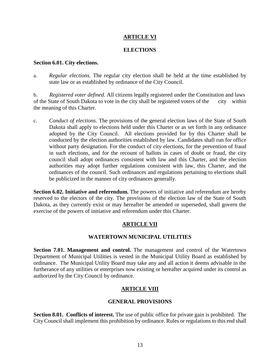# **ARTICLE VI**

#### **ELECTIONS**

#### **Section 6.01. City elections.**

a. *Regular elections.* The regular city election shall be held at the time established by state law or as established by ordinance of the City Council.

b. *Registered voter defined.* All citizens legally registered under the Constitution and laws of the State of South Dakota to vote in the city shall be registered voters of the the meaning of this Charter.

c. *Conduct of elections.* The provisions of the general election laws of the State of South Dakota shall apply to elections held under this Charter or as set forth in any ordinance adopted by the City Council. All elections provided for by this Charter shall be conducted by the election authorities established by law. Candidates shall run for office without party designation. For the conduct of city elections, for the prevention of fraud in such elections, and for the recount of ballots in cases of doubt or fraud, the city council shall adopt ordinances consistent with law and this Charter, and the election authorities may adopt further regulations consistent with law, this Charter, and the ordinances of the council. Such ordinances and regulations pertaining to elections shall be publicized in the manner of city ordinances generally.

**Section 6.02. Initiative and referendum.** The powers of initiative and referendum are hereby reserved to the electors of the city. The provisions of the election law of the State of South Dakota, as they currently exist or may hereafter be amended or superseded, shall govern the exercise of the powers of initiative and referendum under this Charter.

# **ARTICLE VII**

# **WATERTOWN MUNICIPAL UTILITIES**

**Section 7.01. Management and control.** The management and control of the Watertown Department of Municipal Utilities is vested in the Municipal Utility Board as established by ordinance. The Municipal Utility Board may take any and all action it deems advisable in the furtherance of any utilities or enterprises now existing or hereafter acquired under its control as authorized by the City Council by ordinance.

# **ARTICLE VIII**

# **GENERAL PROVISIONS**

**Section 8.01. Conflicts of interest.** The use of public office for private gain is prohibited. The City Council shall implement this prohibition by ordinance. Rules or regulations to this end shall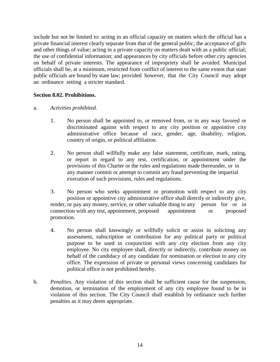include but not be limited to: acting in an official capacity on matters which the official has a private financial interest clearly separate from that of the general public; the acceptance of gifts and other things of value; acting in a private capacity on matters dealt with as a public official; the use of confidential information; and appearances by city officials before other city agencies on behalf of private interests. The appearance of impropriety shall be avoided. Municipal officials shall be, at a minimum, restricted from conflict of interest to the same extent that state public officials are bound by state law; provided however, that the City Council may adopt an ordinance setting a stricter standard.

#### **Section 8.02. Prohibitions.**

#### a. *Activities prohibited.*

- 1. No person shall be appointed to, or removed from, or in any way favored or discriminated against with respect to any city position or appointive city administrative office because of race, gender, age, disability, religion, country of origin, or political affiliation.
- 2. No person shall willfully make any false statement, certificate, mark, rating, or report in regard to any test, certification, or appointment under the provisions of this Charter or the rules and regulations made thereunder, or in any manner commit or attempt to commit any fraud preventing the impartial execution of such provisions, rules and regulations.
- 3. No person who seeks appointment or promotion with respect to any city position or appointive city administrative office shall directly or indirectly give, render, or pay any money, service, or other valuable thing to any person for or in connection with any test, appointment, proposed appointment or proposed promotion.
- 4. No person shall knowingly or willfully solicit or assist in soliciting any assessment, subscription or contribution for any political party or political purpose to be used in conjunction with any city election from any city employee. No city employee shall, directly or indirectly, contribute money on behalf of the candidacy of any candidate for nomination or election to any city office. The expression of private or personal views concerning candidates for political office is not prohibited hereby.
- b. *Penalties.* Any violation of this section shall be sufficient cause for the suspension, demotion, or termination of the employment of any city employee found to be in violation of this section. The City Council shall establish by ordinance such further penalties as it may deem appropriate.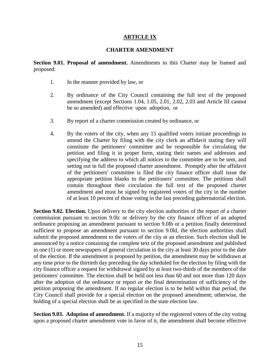# **ARTICLE IX**

#### **CHARTER AMENDMENT**

**Section 9.01. Proposal of amendment.** Amendments to this Charter may be framed and proposed:

- 1. In the manner provided by law, or
- 2. By ordinance of the City Council containing the full text of the proposed amendment (except Sections 1.04, 1.05, 2.01, 2.02, 2.03 and Article III cannot be so amended) and effective upon adoption, or
- 3. By report of a charter commission created by ordinance, or
- 4. By the voters of the city, when any 15 qualified voters initiate proceedings to amend the Charter by filing with the city clerk an affidavit stating they will constitute the petitioners' committee and be responsible for circulating the petition and filing it in proper form, stating their names and addresses and specifying the address to which all notices to the committee are to be sent, and setting out in full the proposed charter amendment. Promptly after the affidavit of the petitioners' committee is filed the city finance officer shall issue the appropriate petition blanks to the petitioners' committee. The petitions shall contain throughout their circulation the full text of the proposed charter amendment and must be signed by registered voters of the city in the number of at least 10 percent of those voting in the last preceding gubernatorial election.

**Section 9.02. Election.** Upon delivery to the city election authorities of the report of a charter commission pursuant to section 9.0lc or delivery by the city finance officer of an adopted ordinance proposing an amendment pursuant to section 9.0lb or a petition finally determined sufficient to propose an amendment pursuant to section 9.0ld, the election authorities shall submit the proposed amendment to the voters of the city at an election. Such election shall be announced by a notice containing the complete text of the proposed amendment and published in one (1) or more newspapers of general circulation in the city at least 30 days prior to the date of the election. If the amendment is proposed by petition, the amendment may be withdrawn at any time prior to the thirtieth day preceding the day scheduled for the election by filing with the city finance officer a request for withdrawal signed by at least two-thirds of the members of the petitioners' committee. The election shall be held not less than 60 and not more than 120 days after the adoption of the ordinance or report or the final determination of sufficiency of the petition proposing the amendment. If no regular election is to be held within that period, the City Council shall provide for a special election on the proposed amendment; otherwise, the holding of a special election shall be as specified in the state election law.

**Section 9.03. Adoption of amendment.** If a majority of the registered voters of the city voting upon a proposed charter amendment vote in favor of it, the amendment shall become effective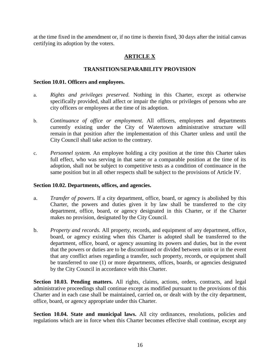at the time fixed in the amendment or, if no time is therein fixed, 30 days after the initial canvas certifying its adoption by the voters.

# **ARTICLE X**

#### **TRANSITION/SEPARABILITY PROVISION**

#### **Section 10.01. Officers and employees.**

- a. *Rights and privileges preserved.* Nothing in this Charter, except as otherwise specifically provided, shall affect or impair the rights or privileges of persons who are city officers or employees at the time of its adoption.
- b. *Continuance of office or employment.* All officers, employees and departments currently existing under the City of Watertown administrative structure will remain in that position after the implementation of this Charter unless and until the City Council shall take action to the contrary.
- c. *Personnel system.* An employee holding a city position at the time this Charter takes full effect, who was serving in that same or a comparable position at the time of its adoption, shall not be subject to competitive tests as a condition of continuance in the same position but in all other respects shall be subject to the provisions of Article IV.

#### **Section 10.02. Departments, offices, and agencies.**

- a. *Transfer of powers.* If a city department, office, board, or agency is abolished by this Charter, the powers and duties given it by law shall be transferred to the city department, office, board, or agency designated in this Charter, or if the Charter makes no provision, designated by the City Council.
- b. *Property and records.* All property, records, and equipment of any department, office, board, or agency existing when this Charter is adopted shall be transferred to the department, office, board, or agency assuming its powers and duties, but in the event that the powers or duties are to be discontinued or divided between units or in the event that any conflict arises regarding a transfer, such property, records, or equipment shall be transferred to one (1) or more departments, offices, boards, or agencies designated by the City Council in accordance with this Charter.

**Section 10.03. Pending matters.** All rights, claims, actions, orders, contracts, and legal administrative proceedings shall continue except as modified pursuant to the provisions of this Charter and in each case shall be maintained, carried on, or dealt with by the city department, office, board, or agency appropriate under this Charter.

**Section 10.04. State and municipal laws.** All city ordinances, resolutions, policies and regulations which are in force when this Charter becomes effective shall continue, except any